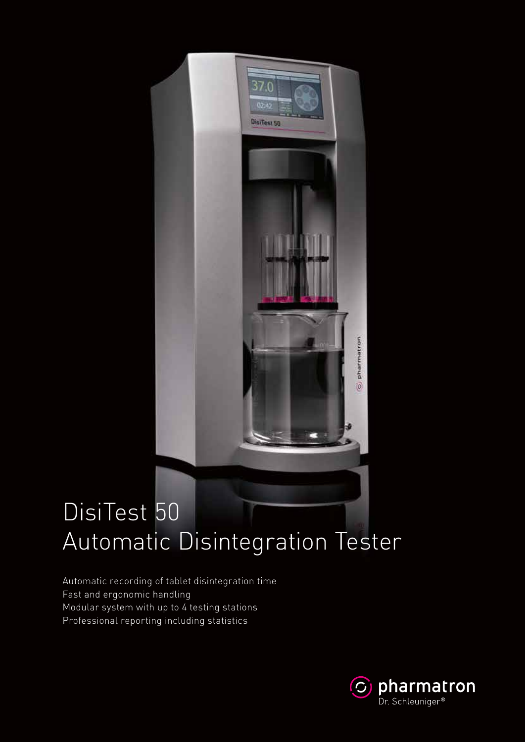# DisiTest 50 Automatic Disintegration Tester

 $370$ 

 $02 - 42$ 

DisiTest 50

Automatic recording of tablet disintegration time Fast and ergonomic handling Modular system with up to 4 testing stations Professional reporting including statistics



pharmatron

10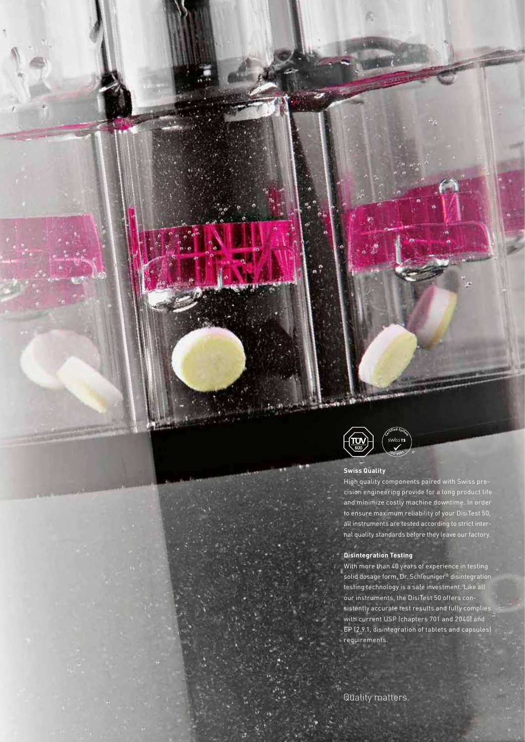

#### **Swiss Quality**

High quality components paired with Swiss precision engineering provide for a long product life and minimize costly machine downtime. In order to ensure maximum reliability of your DisiTest 50, all instruments are tested according to strict internal quality standards before they leave our factory.

#### **Disintegration Testing**

With more than 40 years of experience in testing solid dosage form, Dr. Schleuniger® disintegration testing technology is a safe investment. Like all our instruments, the DisiTest 50 offers consistently accurate test results and fully complies with current USP (chapters 701 and 2040) and EP (2.9.1, disintegration of tablets and capsules) requirements.

Quality matters.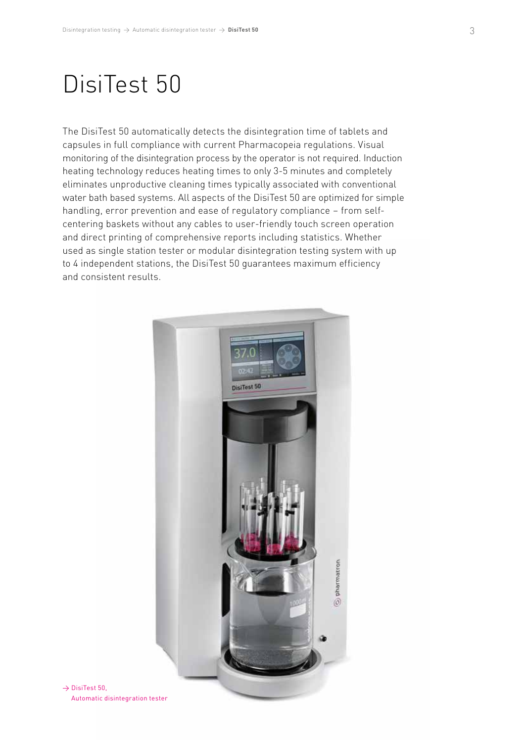### DisiTest 50

The DisiTest 50 automatically detects the disintegration time of tablets and capsules in full compliance with current Pharmacopeia regulations. Visual monitoring of the disintegration process by the operator is not required. Induction heating technology reduces heating times to only 3-5 minutes and completely eliminates unproductive cleaning times typically associated with conventional water bath based systems. All aspects of the DisiTest 50 are optimized for simple handling, error prevention and ease of regulatory compliance – from selfcentering baskets without any cables to user-friendly touch screen operation and direct printing of comprehensive reports including statistics. Whether used as single station tester or modular disintegration testing system with up to 4 independent stations, the DisiTest 50 guarantees maximum efficiency and consistent results.



 $\rightarrow$  DisiTest 50. Automatic disintegration tester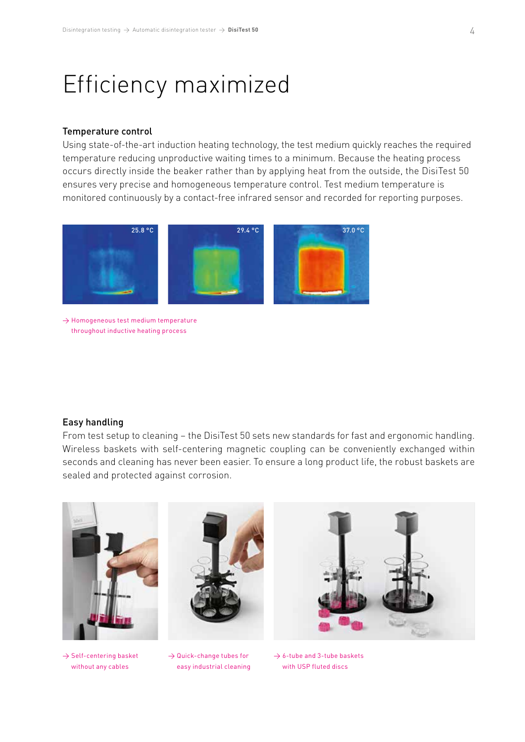### Efficiency maximized

#### Temperature control

Using state-of-the-art induction heating technology, the test medium quickly reaches the required temperature reducing unproductive waiting times to a minimum. Because the heating process occurs directly inside the beaker rather than by applying heat from the outside, the DisiTest 50 ensures very precise and homogeneous temperature control. Test medium temperature is monitored continuously by a contact-free infrared sensor and recorded for reporting purposes.



 $\rightarrow$  Homogeneous test medium temperature throughout inductive heating process

#### Easy handling

From test setup to cleaning – the DisiTest 50 sets new standards for fast and ergonomic handling. Wireless baskets with self-centering magnetic coupling can be conveniently exchanged within seconds and cleaning has never been easier. To ensure a long product life, the robust baskets are sealed and protected against corrosion.



 $\rightarrow$  Self-centering basket without any cables

 $\rightarrow$  Quick-change tubes for easy industrial cleaning

 $\rightarrow$  6-tube and 3-tube baskets with USP fluted discs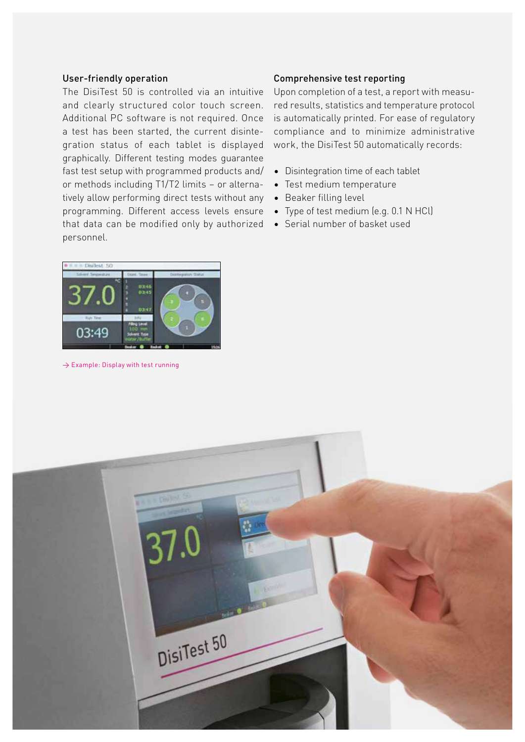#### User-friendly operation

The DisiTest 50 is controlled via an intuitive and clearly structured color touch screen. Additional PC software is not required. Once a test has been started, the current disintegration status of each tablet is displayed graphically. Different testing modes guarantee fast test setup with programmed products and/ or methods including T1/T2 limits – or alternatively allow performing direct tests without any programming. Different access levels ensure that data can be modified only by authorized personnel.



 $\rightarrow$  Example: Display with test running

#### Comprehensive test reporting

Upon completion of a test, a report with measured results, statistics and temperature protocol is automatically printed. For ease of regulatory compliance and to minimize administrative work, the DisiTest 50 automatically records:

- Disintegration time of each tablet
- Test medium temperature
- Beaker filling level
- Type of test medium (e.g. 0.1 N HCl)
- Serial number of basket used

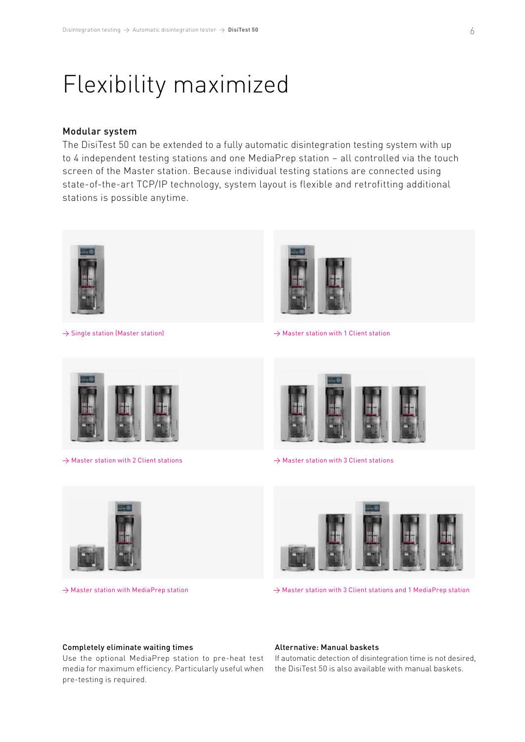### Flexibility maximized

#### Modular system

The DisiTest 50 can be extended to a fully automatic disintegration testing system with up to 4 independent testing stations and one MediaPrep station – all controlled via the touch screen of the Master station. Because individual testing stations are connected using state-of-the-art TCP/IP technology, system layout is flexible and retrofitting additional stations is possible anytime.



 $\rightarrow$  Single station (Master station)



 $\rightarrow$  Master station with 1 Client station



→ Master station with 2 Client stations



→ Master station with 3 Client stations



→ Master station with MediaPrep station



→ Master station with 3 Client stations and 1 MediaPrep station

#### Completely eliminate waiting times

Use the optional MediaPrep station to pre-heat test media for maximum efficiency. Particularly useful when pre-testing is required.

#### Alternative: Manual baskets

If automatic detection of disintegration time is not desired, the DisiTest 50 is also available with manual baskets.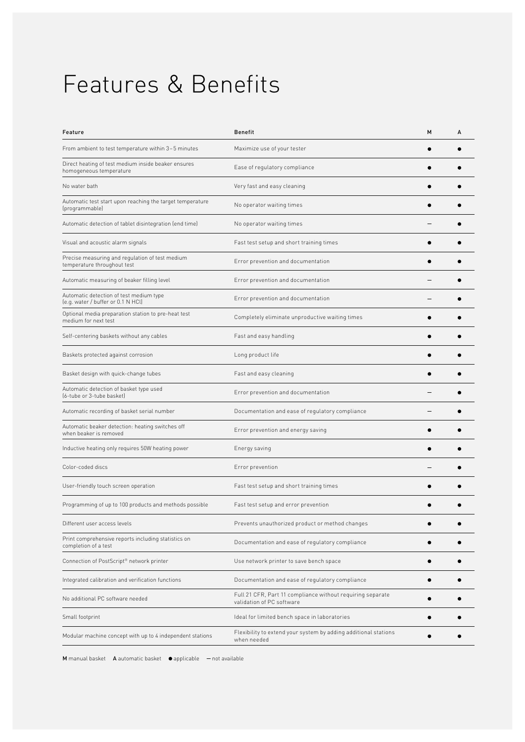## Features & Benefits

| Feature                                                                        | <b>Benefit</b>                                                                          | M | А |
|--------------------------------------------------------------------------------|-----------------------------------------------------------------------------------------|---|---|
| From ambient to test temperature within 3-5 minutes                            | Maximize use of your tester                                                             |   |   |
| Direct heating of test medium inside beaker ensures<br>homogeneous temperature | Ease of regulatory compliance                                                           |   |   |
| No water bath                                                                  | Very fast and easy cleaning                                                             |   |   |
| Automatic test start upon reaching the target temperature<br>(programmable)    | No operator waiting times                                                               |   |   |
| Automatic detection of tablet disintegration (end time)                        | No operator waiting times                                                               |   |   |
| Visual and acoustic alarm signals                                              | Fast test setup and short training times                                                |   |   |
| Precise measuring and regulation of test medium<br>temperature throughout test | Error prevention and documentation                                                      |   |   |
| Automatic measuring of beaker filling level                                    | Error prevention and documentation                                                      |   |   |
| Automatic detection of test medium type<br>(e.g. water / buffer or 0.1 N HCl)  | Error prevention and documentation                                                      |   |   |
| Optional media preparation station to pre-heat test<br>medium for next test    | Completely eliminate unproductive waiting times                                         |   |   |
| Self-centering baskets without any cables                                      | Fast and easy handling                                                                  |   |   |
| Baskets protected against corrosion                                            | Long product life                                                                       |   |   |
| Basket design with quick-change tubes                                          | Fast and easy cleaning                                                                  |   |   |
| Automatic detection of basket type used<br>(6-tube or 3-tube basket)           | Error prevention and documentation                                                      |   |   |
| Automatic recording of basket serial number                                    | Documentation and ease of regulatory compliance                                         |   |   |
| Automatic beaker detection: heating switches off<br>when beaker is removed     | Error prevention and energy saving                                                      |   |   |
| Inductive heating only requires 50W heating power                              | Energy saving                                                                           |   |   |
| Color-coded discs                                                              | Error prevention                                                                        |   |   |
| User-friendly touch screen operation                                           | Fast test setup and short training times                                                |   |   |
| Programming of up to 100 products and methods possible                         | Fast test setup and error prevention                                                    |   |   |
| Different user access levels                                                   | Prevents unauthorized product or method changes                                         |   |   |
| Print comprehensive reports including statistics on<br>completion of a test    | Documentation and ease of regulatory compliance                                         |   |   |
| Connection of PostScript® network printer                                      | Use network printer to save bench space                                                 |   |   |
| Integrated calibration and verification functions                              | Documentation and ease of regulatory compliance                                         |   |   |
| No additional PC software needed                                               | Full 21 CFR, Part 11 compliance without requiring separate<br>validation of PC software |   |   |
| Small footprint                                                                | Ideal for limited bench space in laboratories                                           |   |   |
| Modular machine concept with up to 4 independent stations                      | Flexibility to extend your system by adding additional stations<br>when needed          |   |   |

M manual basket A automatic basket  $\bullet$  applicable  $-$  not available